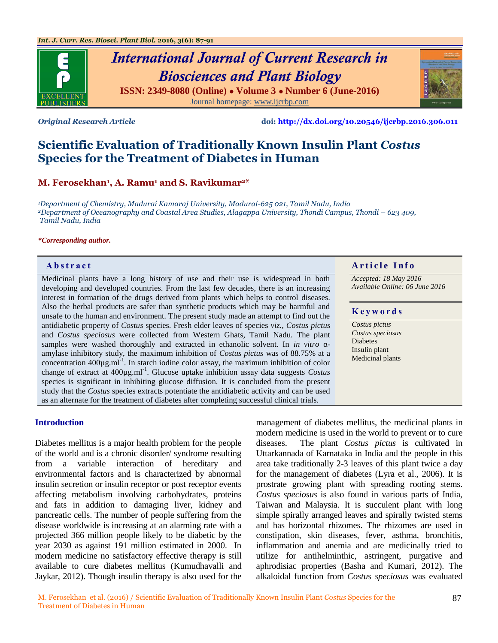



*Original Research Article* **doi:<http://dx.doi.org/10.20546/ijcrbp.2016.306.011>**

# **Scientific Evaluation of Traditionally Known Insulin Plant** *Costus* **Species for the Treatment of Diabetes in Human**

## **M. Ferosekhan<sup>1</sup> , A. Ramu<sup>1</sup> and S. Ravikumar2\***

*<sup>1</sup>Department of Chemistry, Madurai Kamaraj University, Madurai-625 021, Tamil Nadu, India <sup>2</sup>Department of Oceanography and Coastal Area Studies, Alagappa University, Thondi Campus, Thondi – 623 409, Tamil Nadu, India*

#### *\*Corresponding author.*

Medicinal plants have a long history of use and their use is widespread in both developing and developed countries. From the last few decades, there is an increasing interest in formation of the drugs derived from plants which helps to control diseases. Also the herbal products are safer than synthetic products which may be harmful and unsafe to the human and environment. The present study made an attempt to find out the antidiabetic property of *Costus* species. Fresh elder leaves of species *viz., Costus pictus* and *Costus speciosus* were collected from Western Ghats, Tamil Nadu. The plant samples were washed thoroughly and extracted in ethanolic solvent. In *in vitro* αamylase inhibitory study, the maximum inhibition of *Costus pictus* was of 88.75% at a concentration  $400\mu$ g.ml<sup>-1</sup>. In starch iodine color assay, the maximum inhibition of color change of extract at 400µg.ml-1 . Glucose uptake inhibition assay data suggests *Costus* species is significant in inhibiting glucose diffusion. It is concluded from the present study that the *Costus* species extracts potentiate the antidiabetic activity and can be used as an alternate for the treatment of diabetes after completing successful clinical trials.

#### **Introduction**

Diabetes mellitus is a major health problem for the people of the world and is a chronic disorder/ syndrome resulting from a variable interaction of hereditary and environmental factors and is characterized by abnormal insulin secretion or insulin receptor or post receptor events affecting metabolism involving carbohydrates, proteins and fats in addition to damaging liver, kidney and pancreatic cells. The number of people suffering from the disease worldwide is increasing at an alarming rate with a projected 366 million people likely to be diabetic by the year 2030 as against 191 million estimated in 2000. In modern medicine no satisfactory effective therapy is still available to cure diabetes mellitus (Kumudhavalli and Jaykar, 2012). Though insulin therapy is also used for the

management of diabetes mellitus, the medicinal plants in modern medicine is used in the world to prevent or to cure diseases. The plant *Costus pictus* is cultivated in Uttarkannada of Karnataka in India and the people in this area take traditionally 2-3 leaves of this plant twice a day for the management of diabetes (Lyra et al., 2006). It is prostrate growing plant with spreading rooting stems. *Costus speciosus* is also found in various parts of India, Taiwan and Malaysia. It is succulent plant with long simple spirally arranged leaves and spirally twisted stems and has horizontal rhizomes. The rhizomes are used in constipation, skin diseases, fever, asthma, bronchitis, inflammation and anemia and are medicinally tried to utilize for antihelminthic, astringent, purgative and aphrodisiac properties (Basha and Kumari, 2012). The

alkaloidal function from *Costus speciosus* was evaluated

## **Abstract A A** raticle **Info**

*Accepted: 18 May 2016 Available Online: 06 June 2016*

#### **K e y w o r d s**

*Costus pictus Costus speciosus* Diabetes Insulin plant Medicinal plants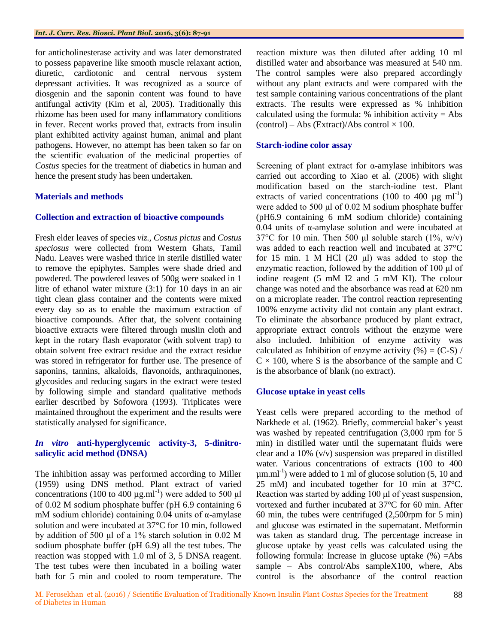for anticholinesterase activity and was later demonstrated to possess papaverine like smooth muscle relaxant action, diuretic, cardiotonic and central nervous system depressant activities. It was recognized as a source of diosgenin and the saponin content was found to have antifungal activity (Kim et al, 2005). Traditionally this rhizome has been used for many inflammatory conditions in fever. Recent works proved that, extracts from insulin plant exhibited activity against human, animal and plant pathogens. However, no attempt has been taken so far on the scientific evaluation of the medicinal properties of *Costus* species for the treatment of diabetics in human and hence the present study has been undertaken.

## **Materials and methods**

## **Collection and extraction of bioactive compounds**

Fresh elder leaves of species *viz., Costus pictus* and *Costus speciosus* were collected from Western Ghats, Tamil Nadu. Leaves were washed thrice in sterile distilled water to remove the epiphytes. Samples were shade dried and powdered. The powdered leaves of 500g were soaked in 1 litre of ethanol water mixture (3:1) for 10 days in an air tight clean glass container and the contents were mixed every day so as to enable the maximum extraction of bioactive compounds. After that, the solvent containing bioactive extracts were filtered through muslin cloth and kept in the rotary flash evaporator (with solvent trap) to obtain solvent free extract residue and the extract residue was stored in refrigerator for further use. The presence of saponins, tannins, alkaloids, flavonoids, anthraquinones, glycosides and reducing sugars in the extract were tested by following simple and standard qualitative methods earlier described by Sofowora (1993). Triplicates were maintained throughout the experiment and the results were statistically analysed for significance.

## *In vitro* **anti-hyperglycemic activity-3, 5-dinitrosalicylic acid method (DNSA)**

The inhibition assay was performed according to Miller (1959) using DNS method. Plant extract of varied concentrations (100 to 400  $\mu$ g.ml<sup>-1</sup>) were added to 500  $\mu$ l of 0.02 M sodium phosphate buffer (pH 6.9 containing 6 mM sodium chloride) containing  $0.04$  units of α-amylase solution and were incubated at 37°C for 10 min, followed by addition of 500 μl of a 1% starch solution in 0.02 M sodium phosphate buffer (pH 6.9) all the test tubes. The reaction was stopped with 1.0 ml of 3, 5 DNSA reagent. The test tubes were then incubated in a boiling water bath for 5 min and cooled to room temperature. The

reaction mixture was then diluted after adding 10 ml distilled water and absorbance was measured at 540 nm. The control samples were also prepared accordingly without any plant extracts and were compared with the test sample containing various concentrations of the plant extracts. The results were expressed as % inhibition calculated using the formula:  $%$  inhibition activity = Abs  $(control) - Abs (Extract)/Abs control \times 100.$ 

## **Starch-iodine color assay**

Screening of plant extract for  $\alpha$ -amylase inhibitors was carried out according to Xiao et al*.* (2006) with slight modification based on the starch-iodine test. Plant extracts of varied concentrations (100 to 400  $\mu$ g ml<sup>-1</sup>) were added to 500 μl of 0.02 M sodium phosphate buffer (pH6.9 containing 6 mM sodium chloride) containing 0.04 units of α-amylase solution and were incubated at 37 $\degree$ C for 10 min. Then 500 μl soluble starch (1%, w/v) was added to each reaction well and incubated at 37°C for 15 min. 1 M HCl  $(20 \mu l)$  was added to stop the enzymatic reaction, followed by the addition of 100 μl of iodine reagent (5 mM I2 and 5 mM KI). The colour change was noted and the absorbance was read at 620 nm on a microplate reader. The control reaction representing 100% enzyme activity did not contain any plant extract. To eliminate the absorbance produced by plant extract, appropriate extract controls without the enzyme were also included. Inhibition of enzyme activity was calculated as Inhibition of enzyme activity  $(\% ) = (C-S) /$  $C \times 100$ , where S is the absorbance of the sample and C is the absorbance of blank (no extract).

## **Glucose uptake in yeast cells**

Yeast cells were prepared according to the method of Narkhede et al*.* (1962). Briefly, commercial baker's yeast was washed by repeated centrifugation (3,000 rpm for 5 min) in distilled water until the supernatant fluids were clear and a 10% (v/v) suspension was prepared in distilled water. Various concentrations of extracts (100 to 400  $\mu$ m.ml<sup>-1</sup>) were added to 1 ml of glucose solution (5, 10 and 25 mM) and incubated together for 10 min at 37°C. Reaction was started by adding 100 μl of yeast suspension, vortexed and further incubated at 37°C for 60 min. After 60 min, the tubes were centrifuged (2,500rpm for 5 min) and glucose was estimated in the supernatant. Metformin was taken as standard drug. The percentage increase in glucose uptake by yeast cells was calculated using the following formula: Increase in glucose uptake  $(\%) =$ Abs sample – Abs control/Abs sampleX100, where, Abs control is the absorbance of the control reaction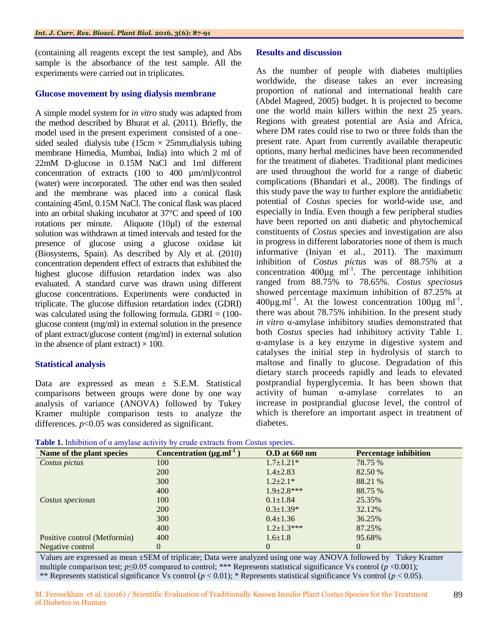(containing all reagents except the test sample), and Abs sample is the absorbance of the test sample. All the experiments were carried out in triplicates.

## **Glucose movement by using dialysis membrane**

A simple model system for *in vitro* study was adapted from the method described by Bhurat et al*.* (2011). Briefly, the model used in the present experiment consisted of a one– sided sealed dialysis tube (15cm  $\times$  25mm, dialysis tubing membrane Himedia, Mumbai, India) into which 2 ml of 22mM D-glucose in 0.15M NaCl and 1ml different concentration of extracts (100 to 400 µm/ml)/control (water) were incorporated. The other end was then sealed and the membrane was placed into a conical flask containing 45ml, 0.15M NaCl. The conical flask was placed into an orbital shaking incubator at 37°C and speed of 100 rotations per minute. Aliquote (10µl) of the external solution was withdrawn at timed intervals and tested for the presence of glucose using a glucose oxidase kit (Biosystems, Spain). As described by Aly et al. (2010) concentration dependent effect of extracts that exhibited the highest glucose diffusion retardation index was also evaluated. A standard curve was drawn using different glucose concentrations. Experiments were conducted in triplicate. The glucose diffusion retardation index (GDRI) was calculated using the following formula. GDRI  $= (100$ glucose content (mg/ml) in external solution in the presence of plant extract/glucose content (mg/ml) in external solution in the absence of plant extract)  $\times$  100.

## **Statistical analysis**

Data are expressed as mean ± S.E.M. Statistical comparisons between groups were done by one way analysis of variance (ANOVA) followed by Tukey Kramer multiple comparison tests to analyze the differences. *p*<0.05 was considered as significant.

#### **Results and discussion**

As the number of people with diabetes multiplies worldwide, the disease takes an ever increasing proportion of national and international health care (Abdel Mageed, 2005) budget. It is projected to become one the world main killers within the next 25 years. Regions with greatest potential are Asia and Africa, where DM rates could rise to two or three folds than the present rate. Apart from currently available therapeutic options, many herbal medicines have been recommended for the treatment of diabetes. Traditional plant medicines are used throughout the world for a range of diabetic complications (Bhandari et al., 2008). The findings of this study pave the way to further explore the antidiabetic potential of *Costus* species for world-wide use, and especially in India. Even though a few peripheral studies have been reported on anti diabetic and phytochemical constituents of *Costus* species and investigation are also in progress in different laboratories none of them is much informative (Iniyan et al*.,* 2011). The maximum inhibition of *Costus pictus* was of 88.75% at a concentration  $400\mu g$  ml<sup>-1</sup>. The percentage inhibition ranged from 88.75% to 78.65%. *Costus speciosus*  showed percentage maximum inhibition of 87.25% at  $400\mu\text{g.m}$ <sup>1-1</sup>. At the lowest concentration  $100\mu\text{g}$  ml<sup>-1</sup>, there was about 78.75% inhibition. In the present study *in vitro* α-amylase inhibitory studies demonstrated that both *Costus* species had inhibitory activity Table 1. α-amylase is a key enzyme in digestive system and catalyses the initial step in hydrolysis of starch to maltose and finally to glucose. Degradation of this dietary starch proceeds rapidly and leads to elevated postprandial hyperglycemia. It has been shown that activity of human α-amylase correlates to an increase in postprandial glucose level, the control of which is therefore an important aspect in treatment of diabetes.

|  |  |  | Table 1. Inhibition of $\alpha$ amylase activity by crude extracts from <i>Costus</i> species. |  |  |
|--|--|--|------------------------------------------------------------------------------------------------|--|--|
|--|--|--|------------------------------------------------------------------------------------------------|--|--|

| Name of the plant species    | Concentration $(\mu g.m)^{-1}$ | $0.D$ at $660$ nm | <b>Percentage inhibition</b> |
|------------------------------|--------------------------------|-------------------|------------------------------|
| Costus pictus                | 100                            | $1.7 \pm 1.21*$   | 78.75 %                      |
|                              | 200                            | $1.4 \pm 2.83$    | 82.50 %                      |
|                              | <b>300</b>                     | $1.2 \pm 2.1*$    | 88.21 %                      |
|                              | 400                            | $1.9+2.8***$      | 88.75 %                      |
| Costus speciosus             | 100                            | $0.1 \pm 1.84$    | 25.35%                       |
|                              | 200                            | $0.3 \pm 1.39*$   | 32.12%                       |
|                              | 300                            | $0.4 \pm 1.36$    | 36.25%                       |
|                              | 400                            | $1.2 \pm 1.3$ *** | 87.25%                       |
| Positive control (Metformin) | 400                            | $1.6 \pm 1.8$     | 95.68%                       |
| Negative control             | 0                              | $\theta$          | 0                            |

Values are expressed as mean ±SEM of triplicate; Data were analyzed using one way ANOVA followed by Tukey Kramer multiple comparison test; *p*≤0.05 compared to control; \*\*\* Represents statistical significance Vs control (*p* <0.001); \*\* Represents statistical significance Vs control (*p* < 0.01); \* Represents statistical significance Vs control (*p* < 0.05).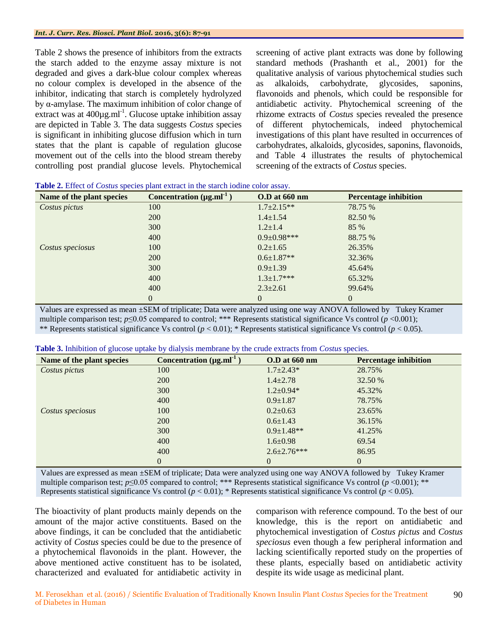Table 2 shows the presence of inhibitors from the extracts the starch added to the enzyme assay mixture is not degraded and gives a dark-blue colour complex whereas no colour complex is developed in the absence of the inhibitor, indicating that starch is completely hydrolyzed by α-amylase. The maximum inhibition of color change of extract was at 400µg.ml<sup>-1</sup>. Glucose uptake inhibition assay are depicted in Table 3. The data suggests *Costus* species is significant in inhibiting glucose diffusion which in turn states that the plant is capable of regulation glucose movement out of the cells into the blood stream thereby controlling post prandial glucose levels. Phytochemical

screening of active plant extracts was done by following standard methods (Prashanth et al*.*, 2001) for the qualitative analysis of various phytochemical studies such as alkaloids, carbohydrate, glycosides, saponins, flavonoids and phenols, which could be responsible for antidiabetic activity. Phytochemical screening of the rhizome extracts of *Costus* species revealed the presence of different phytochemicals, indeed phytochemical investigations of this plant have resulted in occurrences of carbohydrates, alkaloids, glycosides, saponins, flavonoids, and Table 4 illustrates the results of phytochemical screening of the extracts of *Costus* species.

| Name of the plant species | Concentration $(\mu g.mI^{-1})$ | <b>O.D</b> at 660 nm | <b>Percentage inhibition</b> |
|---------------------------|---------------------------------|----------------------|------------------------------|
| Costus pictus             | 100                             | $1.7 \pm 2.15**$     | 78.75 %                      |
|                           | 200                             | $1.4 \pm 1.54$       | 82.50 %                      |
|                           | 300                             | $1.2 \pm 1.4$        | 85 %                         |
|                           | 400                             | $0.9 \pm 0.98$ ***   | 88.75 %                      |
| Costus speciosus          | 100                             | $0.2 \pm 1.65$       | 26.35%                       |
|                           | 200                             | $0.6 \pm 1.87**$     | 32.36%                       |
|                           | 300                             | $0.9 \pm 1.39$       | 45.64%                       |
|                           | 400                             | $1.3 \pm 1.7$ ***    | 65.32%                       |
|                           | 400                             | $2.3 \pm 2.61$       | 99.64%                       |
|                           | $\overline{0}$                  | 0                    | 0                            |

| Table 2. Effect of Costus species plant extract in the starch iodine color assay. |
|-----------------------------------------------------------------------------------|
|-----------------------------------------------------------------------------------|

Values are expressed as mean ±SEM of triplicate; Data were analyzed using one way ANOVA followed by Tukey Kramer multiple comparison test; *p*≤0.05 compared to control; \*\*\* Represents statistical significance Vs control (*p* <0.001); \*\* Represents statistical significance Vs control  $(p < 0.01)$ ; \* Represents statistical significance Vs control  $(p < 0.05)$ .

| Table 3. Inhibition of glucose uptake by dialysis membrane by the crude extracts from Costus species. |  |  |  |  |  |  |
|-------------------------------------------------------------------------------------------------------|--|--|--|--|--|--|
|-------------------------------------------------------------------------------------------------------|--|--|--|--|--|--|

| Name of the plant species | Concentration $(\mu g.m)^{-1}$ | <b>O.D</b> at 660 nm | <b>Percentage inhibition</b> |
|---------------------------|--------------------------------|----------------------|------------------------------|
| Costus pictus             | 100                            | $1.7 \pm 2.43*$      | 28.75%                       |
|                           | 200                            | $1.4 \pm 2.78$       | 32.50 %                      |
|                           | 300                            | $1.2 \pm 0.94*$      | 45.32%                       |
|                           | 400                            | $0.9 \pm 1.87$       | 78.75%                       |
| Costus speciosus          | 100                            | $0.2 \pm 0.63$       | 23.65%                       |
|                           | 200                            | $0.6 \pm 1.43$       | 36.15%                       |
|                           | 300                            | $0.9 \pm 1.48**$     | 41.25%                       |
|                           | 400                            | $1.6 \pm 0.98$       | 69.54                        |
|                           | 400                            | $2.6 \pm 2.76$ ***   | 86.95                        |
|                           | $\theta$                       | $\overline{0}$       | $\overline{0}$               |

Values are expressed as mean ±SEM of triplicate; Data were analyzed using one way ANOVA followed by Tukey Kramer multiple comparison test;  $p \le 0.05$  compared to control; \*\*\* Represents statistical significance Vs control ( $p < 0.001$ ); \*\* Represents statistical significance Vs control  $(p < 0.01)$ ; \* Represents statistical significance Vs control  $(p < 0.05)$ .

The bioactivity of plant products mainly depends on the amount of the major active constituents. Based on the above findings, it can be concluded that the antidiabetic activity of *Costus* species could be due to the presence of a phytochemical flavonoids in the plant. However, the above mentioned active constituent has to be isolated, characterized and evaluated for antidiabetic activity in

comparison with reference compound. To the best of our knowledge, this is the report on antidiabetic and phytochemical investigation of *Costus pictus* and *Costus speciosus* even though a few peripheral information and lacking scientifically reported study on the properties of these plants, especially based on antidiabetic activity despite its wide usage as medicinal plant.